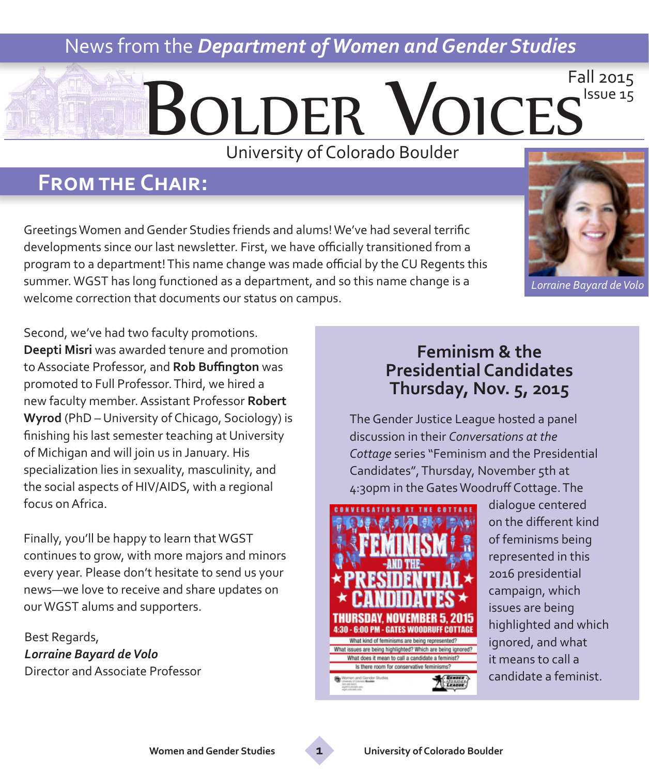## News from the *Department of Women and Gender Studies*

# Bolder Voices Fall 2015

University of Colorado Boulder

## **From the Chair:**

Greetings Women and Gender Studies friends and alums! We've had several terrific developments since our last newsletter. First, we have officially transitioned from a program to a department! This name change was made official by the CU Regents this summer. WGST has long functioned as a department, and so this name change is a welcome correction that documents our status on campus.

Second, we've had two faculty promotions. **Deepti Misri** was awarded tenure and promotion to Associate Professor, and **Rob Buffington** was promoted to Full Professor. Third, we hired a new faculty member. Assistant Professor **Robert Wyrod** (PhD – University of Chicago, Sociology) is finishing his last semester teaching at University of Michigan and will join us in January. His specialization lies in sexuality, masculinity, and the social aspects of HIV/AIDS, with a regional focus on Africa.

Finally, you'll be happy to learn that WGST continues to grow, with more majors and minors every year. Please don't hesitate to send us your news—we love to receive and share updates on our WGST alums and supporters.

Best Regards, *Lorraine Bayard de Volo* Director and Associate Professor

## **Feminism & the Presidential Candidates Thursday, Nov. 5, 2015**

The Gender Justice League hosted a panel discussion in their *Conversations at the Cottage* series "Feminism and the Presidential Candidates", Thursday, November 5th at 4:30pm in the Gates Woodruff Cottage. The



dialogue centered on the different kind of feminisms being represented in this 2016 presidential campaign, which issues are being highlighted and which ignored, and what it means to call a candidate a feminist.

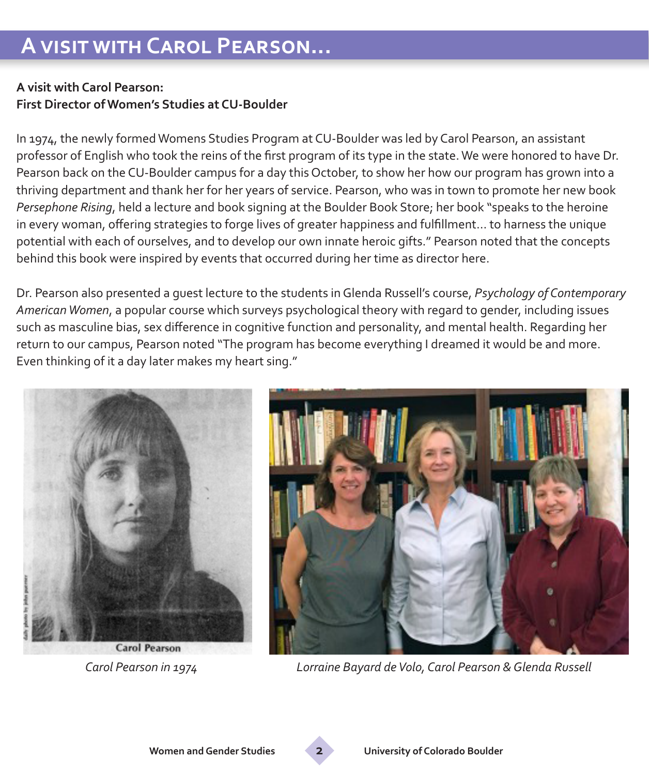#### **A visit with Carol Pearson: First Director of Women's Studies at CU-Boulder**

In 1974, the newly formed Womens Studies Program at CU-Boulder was led by Carol Pearson, an assistant professor of English who took the reins of the first program of its type in the state. We were honored to have Dr. Pearson back on the CU-Boulder campus for a day this October, to show her how our program has grown into a thriving department and thank her for her years of service. Pearson, who was in town to promote her new book *Persephone Rising*, held a lecture and book signing at the Boulder Book Store; her book "speaks to the heroine in every woman, offering strategies to forge lives of greater happiness and fulfillment… to harness the unique potential with each of ourselves, and to develop our own innate heroic gifts." Pearson noted that the concepts behind this book were inspired by events that occurred during her time as director here.

Dr. Pearson also presented a guest lecture to the students in Glenda Russell's course, *Psychology of Contemporary American Women*, a popular course which surveys psychological theory with regard to gender, including issues such as masculine bias, sex difference in cognitive function and personality, and mental health. Regarding her return to our campus, Pearson noted "The program has become everything I dreamed it would be and more. Even thinking of it a day later makes my heart sing."





 *Carol Pearson in 1974 Lorraine Bayard de Volo, Carol Pearson & Glenda Russell*

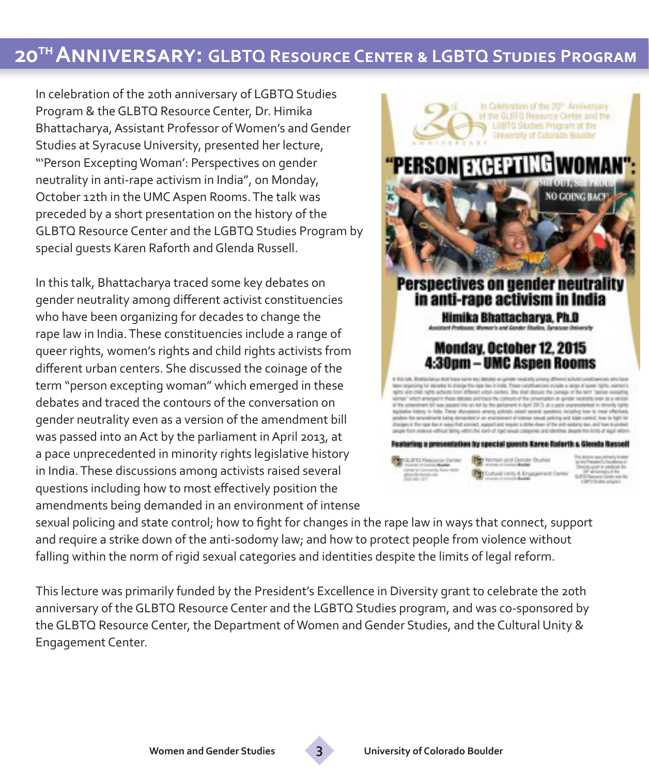## **20th Anniversary: GLBTQ Resource Center & LGBTQ Studies Program**

In celebration of the 20th anniversary of LGBTQ Studies Program & the GLBTQ Resource Center, Dr. Himika Bhattacharya, Assistant Professor of Women's and Gender Studies at Syracuse University, presented her lecture, "'Person Excepting Woman': Perspectives on gender neutrality in anti-rape activism in India", on Monday, October 12th in the UMC Aspen Rooms. The talk was preceded by a short presentation on the history of the GLBTQ Resource Center and the LGBTQ Studies Program by special guests Karen Raforth and Glenda Russell.

In this talk, Bhattacharya traced some key debates on gender neutrality among different activist constituencies who have been organizing for decades to change the rape law in India. These constituencies include a range of queer rights, women's rights and child rights activists from different urban centers. She discussed the coinage of the term "person excepting woman" which emerged in these debates and traced the contours of the conversation on gender neutrality even as a version of the amendment bill was passed into an Act by the parliament in April 2013, at a pace unprecedented in minority rights legislative history in India. These discussions among activists raised several questions including how to most effectively position the amendments being demanded in an environment of intense



sexual policing and state control; how to fight for changes in the rape law in ways that connect, support and require a strike down of the anti-sodomy law; and how to protect people from violence without falling within the norm of rigid sexual categories and identities despite the limits of legal reform.

This lecture was primarily funded by the President's Excellence in Diversity grant to celebrate the 20th anniversary of the GLBTQ Resource Center and the LGBTQ Studies program, and was co-sponsored by the GLBTQ Resource Center, the Department of Women and Gender Studies, and the Cultural Unity & Engagement Center.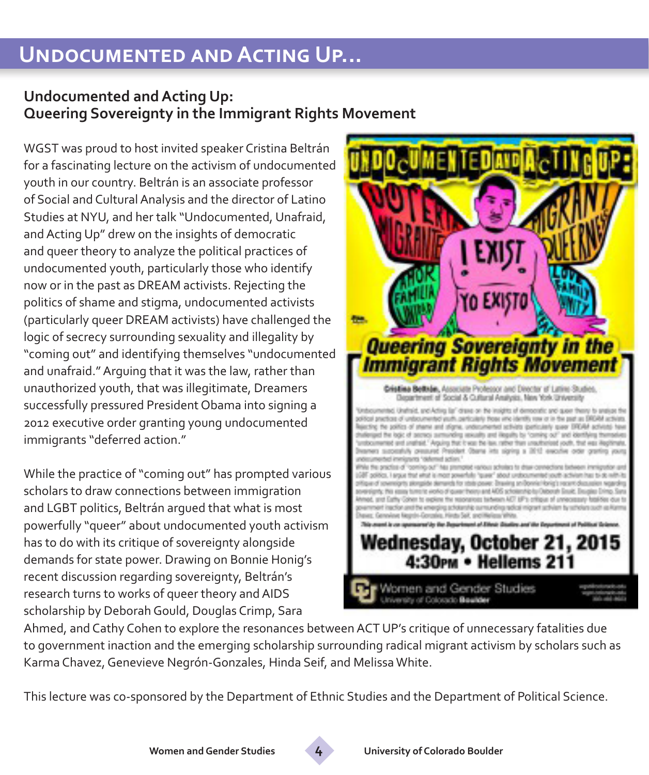# **Undocumented and Acting Up...**

## **Undocumented and Acting Up: Queering Sovereignty in the Immigrant Rights Movement**

WGST was proud to host invited speaker Cristina Beltrán for a fascinating lecture on the activism of undocumented youth in our country. Beltrán is an associate professor of Social and Cultural Analysis and the director of Latino Studies at NYU, and her talk "Undocumented, Unafraid, and Acting Up" drew on the insights of democratic and queer theory to analyze the political practices of undocumented youth, particularly those who identify now or in the past as DREAM activists. Rejecting the politics of shame and stigma, undocumented activists (particularly queer DREAM activists) have challenged the logic of secrecy surrounding sexuality and illegality by "coming out" and identifying themselves "undocumented and unafraid." Arguing that it was the law, rather than unauthorized youth, that was illegitimate, Dreamers successfully pressured President Obama into signing a 2012 executive order granting young undocumented immigrants "deferred action."

While the practice of "coming out" has prompted various scholars to draw connections between immigration and LGBT politics, Beltrán argued that what is most powerfully "queer" about undocumented youth activism has to do with its critique of sovereignty alongside demands for state power. Drawing on Bonnie Honig's recent discussion regarding sovereignty, Beltrán's research turns to works of queer theory and AIDS scholarship by Deborah Gould, Douglas Crimp, Sara



Ahmed, and Cathy Cohen to explore the resonances between ACT UP's critique of unnecessary fatalities due to government inaction and the emerging scholarship surrounding radical migrant activism by scholars such as Karma Chavez, Genevieve Negrón-Gonzales, Hinda Seif, and Melissa White.

This lecture was co-sponsored by the Department of Ethnic Studies and the Department of Political Science.

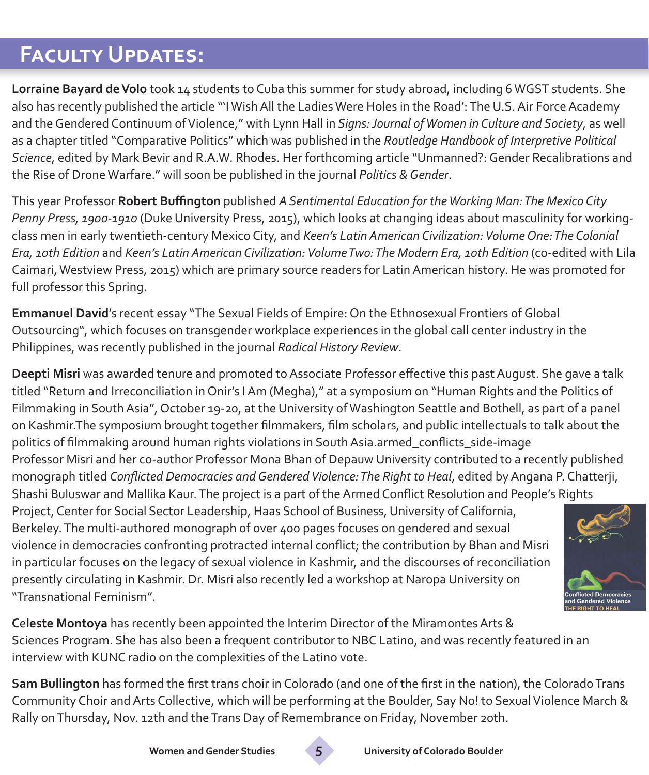# **Faculty Updates:**

**Lorraine Bayard de Volo** took 14 students to Cuba this summer for study abroad, including 6 WGST students. She also has recently published the article "'I Wish All the Ladies Were Holes in the Road': The U.S. Air Force Academy and the Gendered Continuum of Violence," with Lynn Hall in *Signs: Journal of Women in Culture and Society*, as well as a chapter titled "Comparative Politics" which was published in the *Routledge Handbook of Interpretive Political Science*, edited by Mark Bevir and R.A.W. Rhodes. Her forthcoming article "Unmanned?: Gender Recalibrations and the Rise of Drone Warfare." will soon be published in the journal *Politics & Gender*.

This year Professor **Robert Buffington** published *A Sentimental Education for the Working Man: The Mexico City Penny Press, 1900-1910* (Duke University Press, 2015), which looks at changing ideas about masculinity for workingclass men in early twentieth-century Mexico City, and *Keen's Latin American Civilization: Volume One: The Colonial Era, 10th Edition* and *Keen's Latin American Civilization: Volume Two: The Modern Era, 10th Edition* (co-edited with Lila Caimari, Westview Press, 2015) which are primary source readers for Latin American history. He was promoted for full professor this Spring.

**Emmanuel David**'s recent essay "The Sexual Fields of Empire: On the Ethnosexual Frontiers of Global Outsourcing", which focuses on transgender workplace experiences in the global call center industry in the Philippines, was recently published in the journal *Radical History Review*.

**Deepti Misri** was awarded tenure and promoted to Associate Professor effective this past August. She gave a talk titled "Return and Irreconciliation in Onir's I Am (Megha)," at a symposium on "Human Rights and the Politics of Filmmaking in South Asia", October 19-20, at the University of Washington Seattle and Bothell, as part of a panel on Kashmir.The symposium brought together filmmakers, film scholars, and public intellectuals to talk about the politics of filmmaking around human rights violations in South Asia.armed\_conflicts\_side-image Professor Misri and her co-author Professor Mona Bhan of Depauw University contributed to a recently published

monograph titled *Conflicted Democracies and Gendered Violence: The Right to Heal*, edited by Angana P. Chatterji, Shashi Buluswar and Mallika Kaur. The project is a part of the Armed Conflict Resolution and People's Rights

Project, Center for Social Sector Leadership, Haas School of Business, University of California, Berkeley. The multi-authored monograph of over 400 pages focuses on gendered and sexual violence in democracies confronting protracted internal conflict; the contribution by Bhan and Misri in particular focuses on the legacy of sexual violence in Kashmir, and the discourses of reconciliation presently circulating in Kashmir. Dr. Misri also recently led a workshop at Naropa University on "Transnational Feminism".



**C**e**leste Montoya** has recently been appointed the Interim Director of the Miramontes Arts & Sciences Program. She has also been a frequent contributor to NBC Latino, and was recently featured in an interview with KUNC radio on the complexities of the Latino vote.

**Sam Bullington** has formed the first trans choir in Colorado (and one of the first in the nation), the Colorado Trans Community Choir and Arts Collective, which will be performing at the Boulder, Say No! to Sexual Violence March & Rally on Thursday, Nov. 12th and the Trans Day of Remembrance on Friday, November 20th.